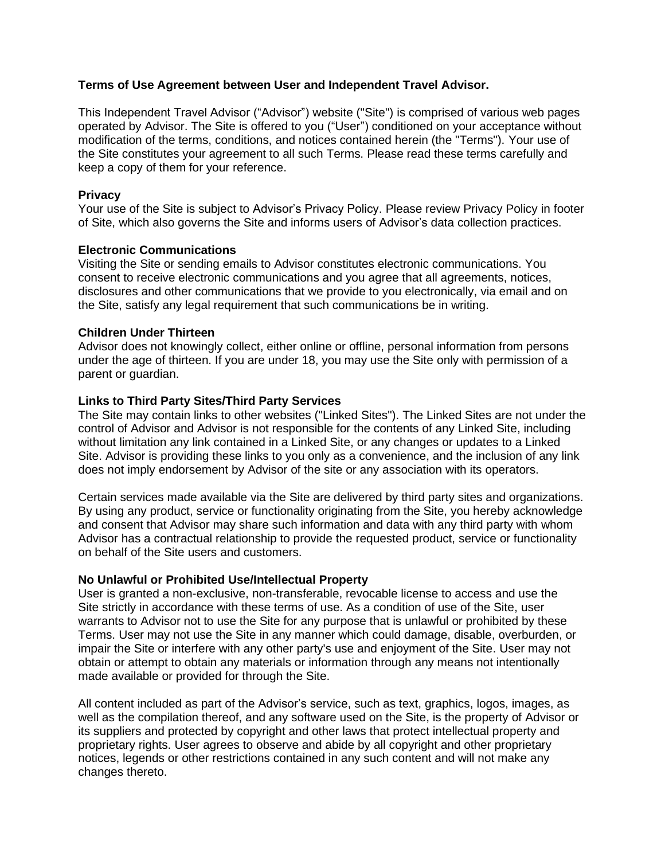## **Terms of Use Agreement between User and Independent Travel Advisor.**

This Independent Travel Advisor ("Advisor") website ("Site") is comprised of various web pages operated by Advisor. The Site is offered to you ("User") conditioned on your acceptance without modification of the terms, conditions, and notices contained herein (the "Terms"). Your use of the Site constitutes your agreement to all such Terms. Please read these terms carefully and keep a copy of them for your reference.

## **Privacy**

Your use of the Site is subject to Advisor's Privacy Policy. Please review Privacy Policy in footer of Site, which also governs the Site and informs users of Advisor's data collection practices.

## **Electronic Communications**

Visiting the Site or sending emails to Advisor constitutes electronic communications. You consent to receive electronic communications and you agree that all agreements, notices, disclosures and other communications that we provide to you electronically, via email and on the Site, satisfy any legal requirement that such communications be in writing.

## **Children Under Thirteen**

Advisor does not knowingly collect, either online or offline, personal information from persons under the age of thirteen. If you are under 18, you may use the Site only with permission of a parent or guardian.

## **Links to Third Party Sites/Third Party Services**

The Site may contain links to other websites ("Linked Sites"). The Linked Sites are not under the control of Advisor and Advisor is not responsible for the contents of any Linked Site, including without limitation any link contained in a Linked Site, or any changes or updates to a Linked Site. Advisor is providing these links to you only as a convenience, and the inclusion of any link does not imply endorsement by Advisor of the site or any association with its operators.

Certain services made available via the Site are delivered by third party sites and organizations. By using any product, service or functionality originating from the Site, you hereby acknowledge and consent that Advisor may share such information and data with any third party with whom Advisor has a contractual relationship to provide the requested product, service or functionality on behalf of the Site users and customers.

### **No Unlawful or Prohibited Use/Intellectual Property**

User is granted a non-exclusive, non-transferable, revocable license to access and use the Site strictly in accordance with these terms of use. As a condition of use of the Site, user warrants to Advisor not to use the Site for any purpose that is unlawful or prohibited by these Terms. User may not use the Site in any manner which could damage, disable, overburden, or impair the Site or interfere with any other party's use and enjoyment of the Site. User may not obtain or attempt to obtain any materials or information through any means not intentionally made available or provided for through the Site.

All content included as part of the Advisor's service, such as text, graphics, logos, images, as well as the compilation thereof, and any software used on the Site, is the property of Advisor or its suppliers and protected by copyright and other laws that protect intellectual property and proprietary rights. User agrees to observe and abide by all copyright and other proprietary notices, legends or other restrictions contained in any such content and will not make any changes thereto.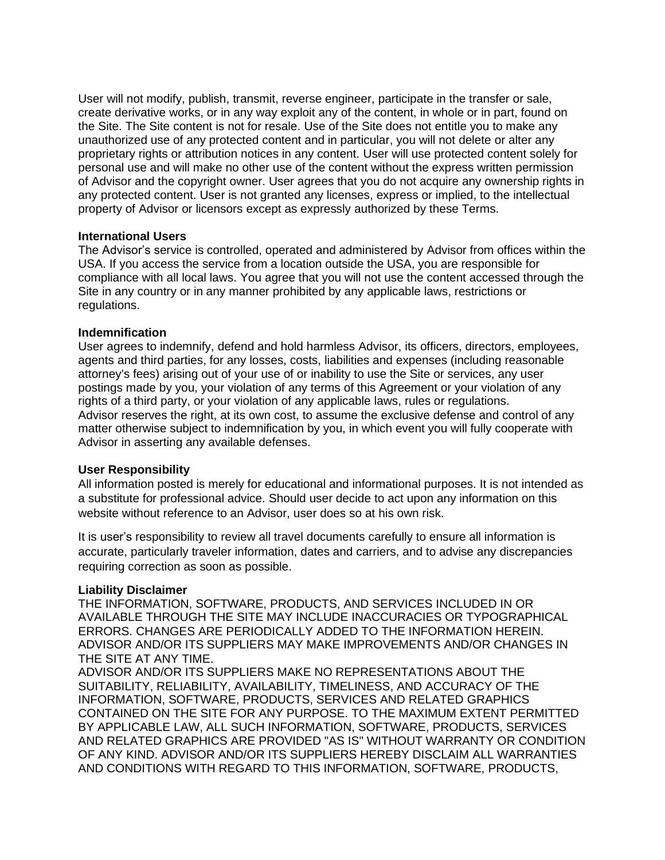User will not modify, publish, transmit, reverse engineer, participate in the transfer or sale, create derivative works, or in any way exploit any of the content, in whole or in part, found on the Site. The Site content is not for resale. Use of the Site does not entitle you to make any unauthorized use of any protected content and in particular, you will not delete or alter any proprietary rights or attribution notices in any content. User will use protected content solely for personal use and will make no other use of the content without the express written permission of Advisor and the copyright owner. User agrees that you do not acquire any ownership rights in any protected content. User is not granted any licenses, express or implied, to the intellectual property of Advisor or licensors except as expressly authorized by these Terms.

### **International Users**

The Advisor's service is controlled, operated and administered by Advisor from offices within the USA. If you access the service from a location outside the USA, you are responsible for compliance with all local laws. You agree that you will not use the content accessed through the Site in any country or in any manner prohibited by any applicable laws, restrictions or regulations.

### **Indemnification**

User agrees to indemnify, defend and hold harmless Advisor, its officers, directors, employees, agents and third parties, for any losses, costs, liabilities and expenses (including reasonable attorney's fees) arising out of your use of or inability to use the Site or services, any user postings made by you, your violation of any terms of this Agreement or your violation of any rights of a third party, or your violation of any applicable laws, rules or regulations. Advisor reserves the right, at its own cost, to assume the exclusive defense and control of any matter otherwise subject to indemnification by you, in which event you will fully cooperate with Advisor in asserting any available defenses.

### **User Responsibility**

All information posted is merely for educational and informational purposes. It is not intended as a substitute for professional advice. Should user decide to act upon any information on this website without reference to an Advisor, user does so at his own risk.

It is user's responsibility to review all travel documents carefully to ensure all information is accurate, particularly traveler information, dates and carriers, and to advise any discrepancies requiring correction as soon as possible.

#### **Liability Disclaimer**

THE INFORMATION, SOFTWARE, PRODUCTS, AND SERVICES INCLUDED IN OR AVAILABLE THROUGH THE SITE MAY INCLUDE INACCURACIES OR TYPOGRAPHICAL ERRORS. CHANGES ARE PERIODICALLY ADDED TO THE INFORMATION HEREIN. ADVISOR AND/OR ITS SUPPLIERS MAY MAKE IMPROVEMENTS AND/OR CHANGES IN THE SITE AT ANY TIME.

ADVISOR AND/OR ITS SUPPLIERS MAKE NO REPRESENTATIONS ABOUT THE SUITABILITY, RELIABILITY, AVAILABILITY, TIMELINESS, AND ACCURACY OF THE INFORMATION, SOFTWARE, PRODUCTS, SERVICES AND RELATED GRAPHICS CONTAINED ON THE SITE FOR ANY PURPOSE. TO THE MAXIMUM EXTENT PERMITTED BY APPLICABLE LAW, ALL SUCH INFORMATION, SOFTWARE, PRODUCTS, SERVICES AND RELATED GRAPHICS ARE PROVIDED "AS IS" WITHOUT WARRANTY OR CONDITION OF ANY KIND. ADVISOR AND/OR ITS SUPPLIERS HEREBY DISCLAIM ALL WARRANTIES AND CONDITIONS WITH REGARD TO THIS INFORMATION, SOFTWARE, PRODUCTS,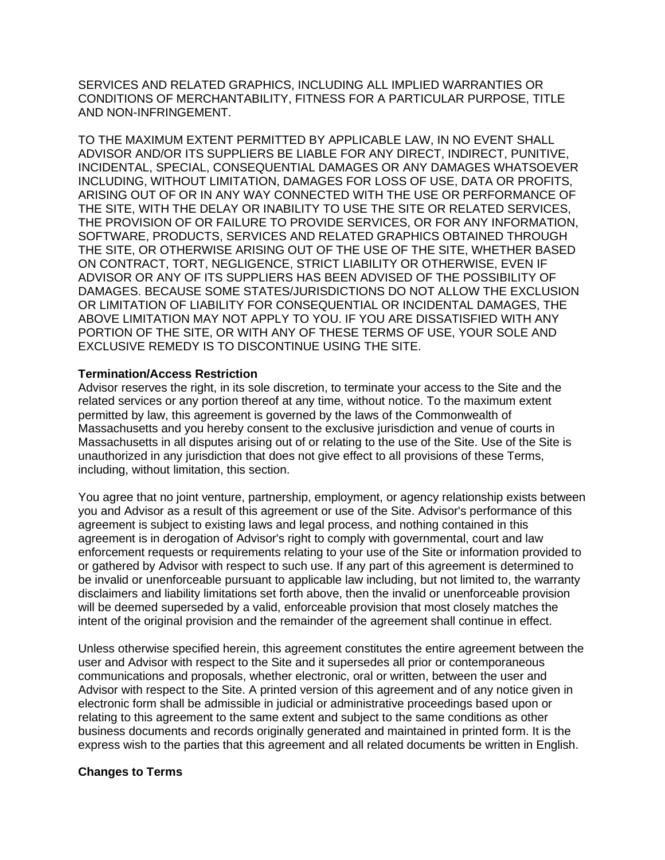SERVICES AND RELATED GRAPHICS, INCLUDING ALL IMPLIED WARRANTIES OR CONDITIONS OF MERCHANTABILITY, FITNESS FOR A PARTICULAR PURPOSE, TITLE AND NON-INFRINGEMENT.

TO THE MAXIMUM EXTENT PERMITTED BY APPLICABLE LAW, IN NO EVENT SHALL ADVISOR AND/OR ITS SUPPLIERS BE LIABLE FOR ANY DIRECT, INDIRECT, PUNITIVE, INCIDENTAL, SPECIAL, CONSEQUENTIAL DAMAGES OR ANY DAMAGES WHATSOEVER INCLUDING, WITHOUT LIMITATION, DAMAGES FOR LOSS OF USE, DATA OR PROFITS, ARISING OUT OF OR IN ANY WAY CONNECTED WITH THE USE OR PERFORMANCE OF THE SITE, WITH THE DELAY OR INABILITY TO USE THE SITE OR RELATED SERVICES, THE PROVISION OF OR FAILURE TO PROVIDE SERVICES, OR FOR ANY INFORMATION, SOFTWARE, PRODUCTS, SERVICES AND RELATED GRAPHICS OBTAINED THROUGH THE SITE, OR OTHERWISE ARISING OUT OF THE USE OF THE SITE, WHETHER BASED ON CONTRACT, TORT, NEGLIGENCE, STRICT LIABILITY OR OTHERWISE, EVEN IF ADVISOR OR ANY OF ITS SUPPLIERS HAS BEEN ADVISED OF THE POSSIBILITY OF DAMAGES. BECAUSE SOME STATES/JURISDICTIONS DO NOT ALLOW THE EXCLUSION OR LIMITATION OF LIABILITY FOR CONSEQUENTIAL OR INCIDENTAL DAMAGES, THE ABOVE LIMITATION MAY NOT APPLY TO YOU. IF YOU ARE DISSATISFIED WITH ANY PORTION OF THE SITE, OR WITH ANY OF THESE TERMS OF USE, YOUR SOLE AND EXCLUSIVE REMEDY IS TO DISCONTINUE USING THE SITE.

### **Termination/Access Restriction**

Advisor reserves the right, in its sole discretion, to terminate your access to the Site and the related services or any portion thereof at any time, without notice. To the maximum extent permitted by law, this agreement is governed by the laws of the Commonwealth of Massachusetts and you hereby consent to the exclusive jurisdiction and venue of courts in Massachusetts in all disputes arising out of or relating to the use of the Site. Use of the Site is unauthorized in any jurisdiction that does not give effect to all provisions of these Terms, including, without limitation, this section.

You agree that no joint venture, partnership, employment, or agency relationship exists between you and Advisor as a result of this agreement or use of the Site. Advisor's performance of this agreement is subject to existing laws and legal process, and nothing contained in this agreement is in derogation of Advisor's right to comply with governmental, court and law enforcement requests or requirements relating to your use of the Site or information provided to or gathered by Advisor with respect to such use. If any part of this agreement is determined to be invalid or unenforceable pursuant to applicable law including, but not limited to, the warranty disclaimers and liability limitations set forth above, then the invalid or unenforceable provision will be deemed superseded by a valid, enforceable provision that most closely matches the intent of the original provision and the remainder of the agreement shall continue in effect.

Unless otherwise specified herein, this agreement constitutes the entire agreement between the user and Advisor with respect to the Site and it supersedes all prior or contemporaneous communications and proposals, whether electronic, oral or written, between the user and Advisor with respect to the Site. A printed version of this agreement and of any notice given in electronic form shall be admissible in judicial or administrative proceedings based upon or relating to this agreement to the same extent and subject to the same conditions as other business documents and records originally generated and maintained in printed form. It is the express wish to the parties that this agreement and all related documents be written in English.

# **Changes to Terms**